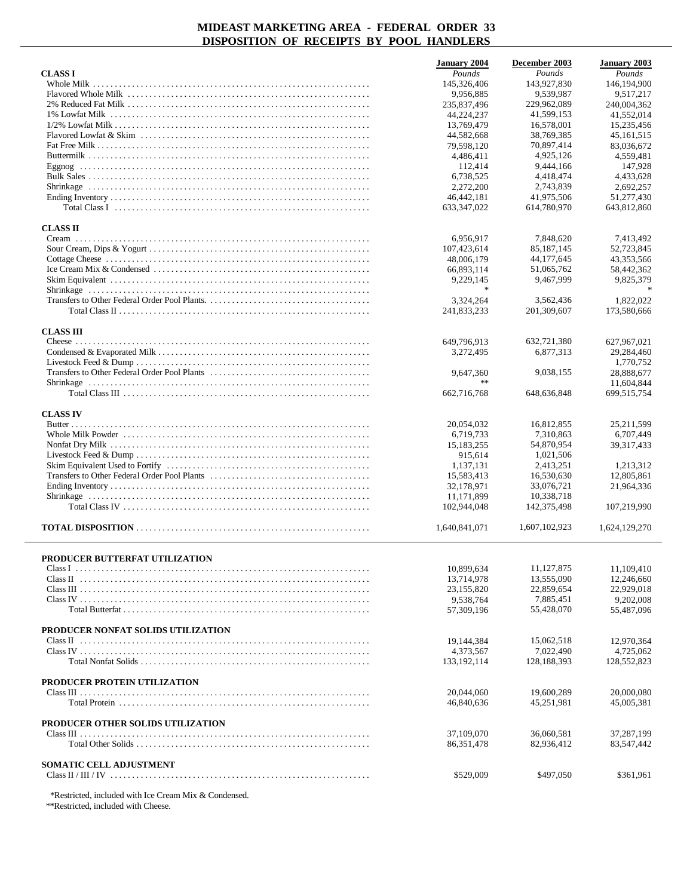|                                    | <b>January 2004</b>     | December 2003                | <b>January 2003</b> |
|------------------------------------|-------------------------|------------------------------|---------------------|
| <b>CLASS I</b>                     | Pounds                  | Pounds                       | Pounds              |
| Whole Milk                         | 145,326,406             | 143,927,830                  | 146,194,900         |
|                                    | 9,956,885               | 9,539,987                    | 9,517,217           |
|                                    | 235,837,496             | 229,962,089                  | 240,004,362         |
|                                    | 44,224,237              | 41,599,153                   | 41,552,014          |
|                                    | 13,769,479              | 16,578,001                   | 15,235,456          |
|                                    | 44,582,668              | 38,769,385                   | 45, 161, 515        |
|                                    | 79,598,120              | 70,897,414                   | 83,036,672          |
|                                    | 4,486,411               | 4,925,126                    | 4,559,481           |
|                                    | 112,414                 | 9,444,166                    | 147,928             |
|                                    | 6,738,525               | 4,418,474                    | 4,433,628           |
|                                    | 2,272,200               | 2,743,839                    | 2,692,257           |
|                                    | 46,442,181              | 41,975,506                   | 51,277,430          |
|                                    | 633, 347, 022           | 614,780,970                  | 643,812,860         |
| <b>CLASS II</b>                    |                         |                              |                     |
|                                    |                         |                              |                     |
|                                    | 6,956,917               | 7,848,620                    | 7,413,492           |
|                                    | 107,423,614             | 85, 187, 145<br>44, 177, 645 | 52,723,845          |
|                                    | 48,006,179              |                              | 43,353,566          |
|                                    | 66,893,114<br>9.229.145 | 51,065,762<br>9.467.999      | 58,442,362          |
|                                    | $\frac{1}{2}$           |                              | 9,825,379           |
|                                    | 3,324,264               | 3,562,436                    | 1,822,022           |
|                                    | 241,833,233             | 201,309,607                  |                     |
|                                    |                         |                              | 173,580,666         |
| <b>CLASS III</b>                   |                         |                              |                     |
|                                    | 649,796,913             | 632,721,380                  | 627,967,021         |
|                                    | 3,272,495               | 6,877,313                    | 29,284,460          |
|                                    |                         |                              | 1,770,752           |
|                                    | 9,647,360               | 9,038,155                    | 28,888,677          |
|                                    | **                      |                              | 11,604,844          |
|                                    | 662,716,768             | 648,636,848                  | 699,515,754         |
|                                    |                         |                              |                     |
| <b>CLASS IV</b>                    |                         |                              |                     |
|                                    | 20,054,032              | 16,812,855                   | 25,211,599          |
|                                    | 6,719,733               | 7,310,863                    | 6,707,449           |
|                                    | 15, 183, 255            | 54,870,954                   | 39, 317, 433        |
|                                    | 915,614                 | 1,021,506                    |                     |
|                                    | 1,137,131               | 2,413,251                    | 1,213,312           |
|                                    | 15,583,413              | 16,530,630                   | 12,805,861          |
|                                    | 32,178,971              | 33,076,721                   | 21,964,336          |
|                                    | 11,171,899              | 10,338,718                   |                     |
|                                    | 102,944,048             | 142,375,498                  | 107,219,990         |
|                                    | 1,640,841,071           | 1,607,102,923                | 1,624,129,270       |
|                                    |                         |                              |                     |
|                                    |                         |                              |                     |
| PRODUCER BUTTERFAT UTILIZATION     |                         |                              |                     |
|                                    | 10.899.634              | 11,127,875                   | 11,109,410          |
|                                    | 13,714,978              | 13,555,090                   | 12,246,660          |
|                                    | 23,155,820              | 22,859,654                   | 22,929,018          |
|                                    | 9,538,764               | 7,885,451                    | 9,202,008           |
|                                    | 57,309,196              | 55,428,070                   | 55,487,096          |
| PRODUCER NONFAT SOLIDS UTILIZATION |                         |                              |                     |
|                                    | 19,144,384              | 15,062,518                   | 12,970,364          |
|                                    | 4,373,567               | 7.022.490                    | 4,725,062           |
|                                    | 133, 192, 114           | 128,188,393                  | 128,552,823         |
|                                    |                         |                              |                     |
| PRODUCER PROTEIN UTILIZATION       |                         |                              |                     |
|                                    | 20.044.060              | 19,600,289                   | 20,000,080          |
|                                    | 46,840,636              | 45,251,981                   | 45,005,381          |
|                                    |                         |                              |                     |
| PRODUCER OTHER SOLIDS UTILIZATION  |                         |                              |                     |
|                                    | 37,109,070              | 36,060,581                   | 37,287,199          |
|                                    | 86, 351, 478            | 82,936,412                   | 83,547,442          |
| <b>SOMATIC CELL ADJUSTMENT</b>     |                         |                              |                     |
|                                    | \$529,009               | \$497,050                    | \$361,961           |
|                                    |                         |                              |                     |

\*Restricted, included with Ice Cream Mix & Condensed.

\*\*Restricted, included with Cheese.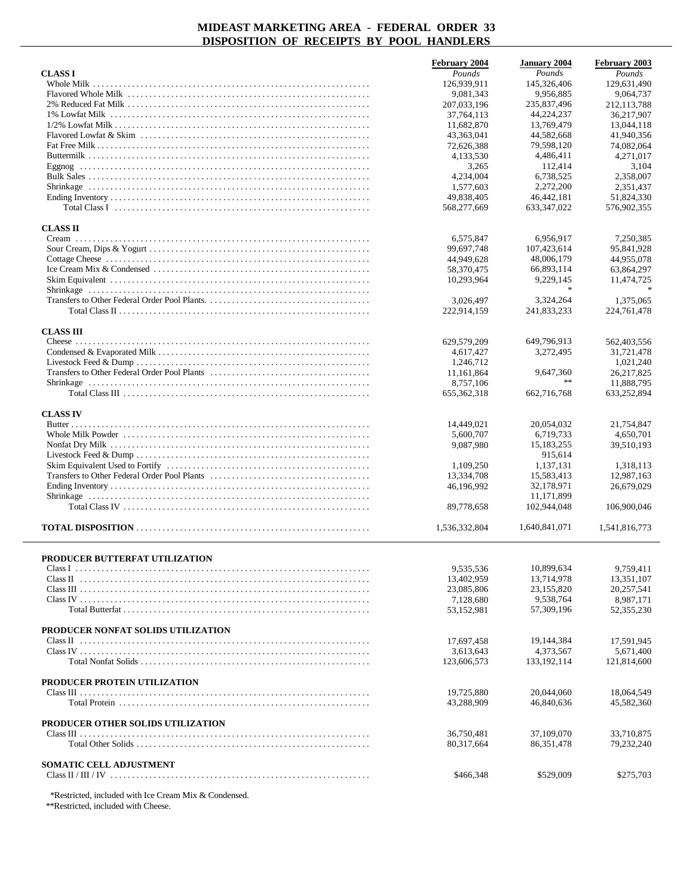|                                                                                                                                             | February 2004            | <b>January 2004</b>      | February 2003             |
|---------------------------------------------------------------------------------------------------------------------------------------------|--------------------------|--------------------------|---------------------------|
| <b>CLASS I</b>                                                                                                                              | Pounds                   | Pounds                   | Pounds                    |
| Whole Milk                                                                                                                                  | 126,939,911              | 145,326,406              | 129,631,490               |
|                                                                                                                                             | 9,081,343                | 9,956,885                | 9,064,737                 |
|                                                                                                                                             | 207,033,196              | 235,837,496              | 212, 113, 788             |
|                                                                                                                                             | 37,764,113<br>11,682,870 | 44,224,237<br>13,769,479 | 36.217.907<br>13,044,118  |
|                                                                                                                                             | 43,363,041               | 44,582,668               | 41,940,356                |
|                                                                                                                                             | 72,626,388               | 79,598,120               | 74,082,064                |
|                                                                                                                                             | 4,133,530                | 4,486,411                | 4,271,017                 |
|                                                                                                                                             | 3,265                    | 112,414                  | 3,104                     |
|                                                                                                                                             | 4,234,004                | 6,738,525                | 2,358,007                 |
|                                                                                                                                             | 1.577.603                | 2,272,200                | 2,351,437                 |
|                                                                                                                                             | 49,838,405               | 46, 442, 181             | 51,824,330                |
| Total Class I $\ldots$ $\ldots$ $\ldots$ $\ldots$ $\ldots$ $\ldots$ $\ldots$ $\ldots$ $\ldots$ $\ldots$ $\ldots$ $\ldots$ $\ldots$ $\ldots$ | 568,277,669              | 633, 347, 022            | 576,902,355               |
| <b>CLASS II</b>                                                                                                                             |                          |                          |                           |
|                                                                                                                                             | 6,575,847                | 6,956,917                | 7,250,385                 |
|                                                                                                                                             | 99,697,748               | 107,423,614              | 95,841,928                |
|                                                                                                                                             | 44,949,628               | 48,006,179               | 44,955,078                |
|                                                                                                                                             | 58,370,475               | 66,893,114               | 63,864,297                |
|                                                                                                                                             | 10,293,964               | 9,229,145                | 11,474,725                |
|                                                                                                                                             |                          | $\ast$                   |                           |
|                                                                                                                                             | 3,026,497                | 3,324,264                | 1,375,065                 |
|                                                                                                                                             | 222,914,159              | 241,833,233              | 224,761,478               |
|                                                                                                                                             |                          |                          |                           |
| <b>CLASS III</b>                                                                                                                            |                          |                          |                           |
|                                                                                                                                             | 629,579,209<br>4,617,427 | 649,796,913<br>3,272,495 | 562,403,556<br>31,721,478 |
|                                                                                                                                             | 1,246,712                |                          | 1,021,240                 |
|                                                                                                                                             | 11,161,864               | 9,647,360                | 26,217,825                |
|                                                                                                                                             | 8,757,106                | $\star\star$             | 11,888,795                |
|                                                                                                                                             | 655, 362, 318            | 662,716,768              | 633,252,894               |
|                                                                                                                                             |                          |                          |                           |
| <b>CLASS IV</b>                                                                                                                             |                          |                          |                           |
|                                                                                                                                             | 14,449,021               | 20,054,032               | 21,754,847                |
|                                                                                                                                             | 5,600,707                | 6,719,733                | 4,650,701                 |
|                                                                                                                                             | 9,087,980                | 15, 183, 255<br>915,614  | 39,510,193                |
|                                                                                                                                             | 1,109,250                | 1,137,131                | 1,318,113                 |
|                                                                                                                                             | 13,334,708               | 15,583,413               | 12,987,163                |
|                                                                                                                                             | 46,196,992               | 32,178,971               | 26,679,029                |
|                                                                                                                                             |                          | 11,171,899               |                           |
|                                                                                                                                             | 89,778,658               | 102,944,048              | 106,900,046               |
|                                                                                                                                             |                          |                          |                           |
|                                                                                                                                             | 1,536,332,804            | 1,640,841,071            | 1,541,816,773             |
|                                                                                                                                             |                          |                          |                           |
| PRODUCER BUTTERFAT UTILIZATION                                                                                                              |                          |                          |                           |
|                                                                                                                                             | 9,535,536                | 10,899,634               | 9,759,411                 |
|                                                                                                                                             | 13,402,959               | 13,714,978               | 13,351,107                |
|                                                                                                                                             | 23,085,806               | 23,155,820               | 20,257,541                |
|                                                                                                                                             | 7,128,680                | 9,538,764                | 8,987,171                 |
|                                                                                                                                             | 53,152,981               | 57,309,196               | 52,355,230                |
| PRODUCER NONFAT SOLIDS UTILIZATION                                                                                                          |                          |                          |                           |
|                                                                                                                                             | 17,697,458               | 19,144,384               | 17,591,945                |
|                                                                                                                                             | 3,613,643                | 4,373,567                | 5,671,400                 |
|                                                                                                                                             | 123,606,573              | 133, 192, 114            | 121,814,600               |
|                                                                                                                                             |                          |                          |                           |
| PRODUCER PROTEIN UTILIZATION                                                                                                                |                          |                          |                           |
|                                                                                                                                             | 19,725,880               | 20,044,060               | 18,064,549                |
|                                                                                                                                             | 43,288,909               | 46,840,636               | 45,582,360                |
| PRODUCER OTHER SOLIDS UTILIZATION                                                                                                           |                          |                          |                           |
|                                                                                                                                             | 36,750,481               | 37,109,070               | 33,710,875                |
|                                                                                                                                             | 80,317,664               | 86, 351, 478             | 79,232,240                |
|                                                                                                                                             |                          |                          |                           |
| <b>SOMATIC CELL ADJUSTMENT</b>                                                                                                              |                          |                          |                           |
|                                                                                                                                             | \$466,348                | \$529,009                | \$275,703                 |
|                                                                                                                                             |                          |                          |                           |

\*Restricted, included with Ice Cream Mix & Condensed.

\*\*Restricted, included with Cheese.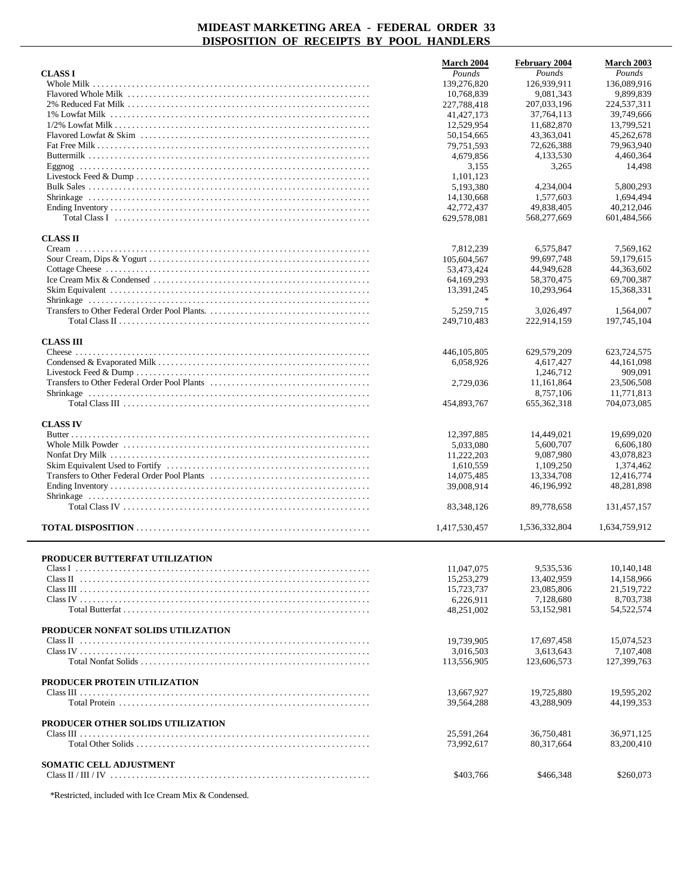|                                    | <b>March 2004</b> | February 2004 | March 2003    |
|------------------------------------|-------------------|---------------|---------------|
| <b>CLASS I</b>                     | Pounds            | Pounds        | Pounds        |
|                                    | 139,276,820       | 126,939,911   | 136,089,916   |
|                                    | 10,768,839        | 9,081,343     | 9,899,839     |
|                                    | 227,788,418       | 207,033,196   | 224,537,311   |
|                                    | 41, 427, 173      | 37, 764, 113  | 39,749,666    |
|                                    | 12,529,954        | 11,682,870    | 13,799,521    |
|                                    | 50,154,665        | 43,363,041    | 45,262,678    |
|                                    | 79,751,593        | 72,626,388    | 79,963,940    |
|                                    | 4,679,856         | 4,133,530     | 4,460,364     |
|                                    | 3,155             | 3,265         | 14,498        |
|                                    | 1,101,123         |               |               |
|                                    | 5,193,380         | 4,234,004     | 5,800,293     |
|                                    | 14,130,668        | 1,577,603     | 1,694,494     |
|                                    | 42,772,437        | 49,838,405    | 40,212,046    |
|                                    | 629,578,081       | 568,277,669   | 601,484,566   |
|                                    |                   |               |               |
| <b>CLASS II</b>                    |                   |               |               |
|                                    | 7,812,239         | 6,575,847     | 7,569,162     |
|                                    | 105,604,567       | 99,697,748    | 59,179,615    |
|                                    | 53,473,424        | 44,949,628    | 44,363,602    |
|                                    | 64,169,293        | 58,370,475    | 69,700,387    |
|                                    | 13,391,245        | 10,293,964    | 15,368,331    |
|                                    | $\frac{1}{2}$     |               |               |
|                                    | 5,259,715         | 3,026,497     | 1,564,007     |
|                                    | 249,710,483       | 222,914,159   | 197,745,104   |
|                                    |                   |               |               |
| <b>CLASS III</b>                   |                   |               |               |
|                                    | 446, 105, 805     | 629,579,209   | 623,724,575   |
|                                    | 6.058.926         | 4,617,427     | 44, 161, 098  |
|                                    |                   | 1,246,712     | 909,091       |
|                                    | 2,729,036         | 11,161,864    | 23,506,508    |
|                                    |                   | 8,757,106     | 11,771,813    |
|                                    | 454,893,767       | 655, 362, 318 | 704,073,085   |
|                                    |                   |               |               |
| <b>CLASS IV</b>                    |                   |               |               |
|                                    | 12,397,885        | 14,449,021    | 19,699,020    |
|                                    | 5,033,080         | 5,600,707     | 6,606,180     |
|                                    | 11,222,203        | 9,087,980     | 43,078,823    |
|                                    | 1,610,559         | 1,109,250     | 1,374,462     |
|                                    | 14,075,485        | 13,334,708    | 12,416,774    |
|                                    | 39,008,914        | 46,196,992    | 48,281,898    |
|                                    |                   |               |               |
|                                    | 83, 348, 126      | 89,778,658    | 131,457,157   |
|                                    |                   |               |               |
|                                    | 1,417,530,457     | 1,536,332,804 | 1,634,759,912 |
|                                    |                   |               |               |
|                                    |                   |               |               |
| PRODUCER BUTTERFAT UTILIZATION     |                   | 9,535,536     | 10,140,148    |
|                                    | 11,047,075        |               |               |
|                                    | 15,253,279        | 13,402,959    | 14,158,966    |
|                                    | 15,723,737        | 23,085,806    | 21,519,722    |
|                                    | 6,226,911         | 7,128,680     | 8,703,738     |
|                                    | 48,251,002        | 53,152,981    | 54,522,574    |
|                                    |                   |               |               |
| PRODUCER NONFAT SOLIDS UTILIZATION |                   |               |               |
|                                    | 19,739,905        | 17,697,458    | 15,074,523    |
|                                    | 3,016,503         | 3,613,643     | 7,107,408     |
|                                    | 113,556,905       | 123,606,573   | 127,399,763   |
|                                    |                   |               |               |
| PRODUCER PROTEIN UTILIZATION       |                   |               |               |
|                                    | 13,667,927        | 19,725,880    | 19,595,202    |
|                                    | 39,564,288        | 43,288,909    | 44,199,353    |
|                                    |                   |               |               |
| PRODUCER OTHER SOLIDS UTILIZATION  |                   |               |               |
|                                    | 25,591,264        | 36,750,481    | 36,971,125    |
|                                    | 73,992,617        | 80, 317, 664  | 83,200,410    |
|                                    |                   |               |               |
| SOMATIC CELL ADJUSTMENT            |                   |               |               |
|                                    | \$403,766         | \$466,348     | \$260,073     |

\*Restricted, included with Ice Cream Mix & Condensed.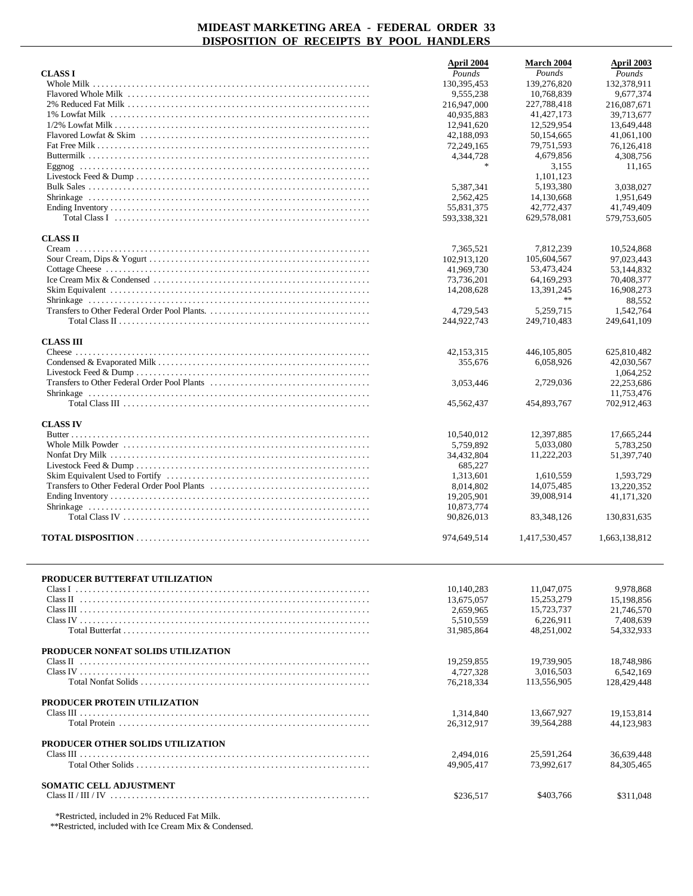| <b>CLASS I</b>                                | April 2004<br>Pounds     | March 2004<br>Pounds         | April 2003<br>Pounds     |
|-----------------------------------------------|--------------------------|------------------------------|--------------------------|
| Whole Milk                                    | 130,395,453              | 139,276,820                  | 132,378,911              |
|                                               | 9,555,238<br>216,947,000 | 10,768,839<br>227,788,418    | 9,677,374<br>216,087,671 |
|                                               | 40,935,883               | 41, 427, 173                 | 39.713.677               |
|                                               | 12,941,620               | 12,529,954                   | 13,649,448               |
|                                               | 42,188,093               | 50,154,665                   | 41,061,100               |
|                                               | 72,249,165<br>4,344,728  | 79,751,593<br>4,679,856      | 76,126,418<br>4,308,756  |
|                                               | $\frac{1}{2}$            | 3,155                        | 11,165                   |
|                                               |                          | 1,101,123                    |                          |
|                                               | 5,387,341                | 5,193,380                    | 3,038,027                |
|                                               | 2,562,425<br>55,831,375  | 14,130,668<br>42,772,437     | 1,951,649<br>41,749,409  |
|                                               | 593,338,321              | 629,578,081                  | 579,753,605              |
| <b>CLASS II</b>                               |                          |                              |                          |
|                                               | 7,365,521<br>102,913,120 | 7,812,239                    | 10,524,868<br>97,023,443 |
|                                               | 41,969,730               | 105,604,567<br>53,473,424    | 53,144,832               |
|                                               | 73,736,201               | 64, 169, 293                 | 70,408,377               |
|                                               | 14,208,628               | 13,391,245                   | 16,908,273               |
|                                               |                          | $\star$ $\star$<br>5,259,715 | 88,552                   |
|                                               | 4,729,543<br>244,922,743 | 249,710,483                  | 1,542,764<br>249,641,109 |
|                                               |                          |                              |                          |
| <b>CLASS III</b>                              | 42,153,315               | 446, 105, 805                | 625,810,482              |
|                                               | 355,676                  | 6,058,926                    | 42,030,567               |
|                                               |                          |                              | 1,064,252                |
|                                               | 3,053,446                | 2,729,036                    | 22,253,686<br>11,753,476 |
|                                               | 45,562,437               | 454,893,767                  | 702,912,463              |
|                                               |                          |                              |                          |
| <b>CLASS IV</b>                               | 10,540,012               | 12,397,885                   | 17,665,244               |
|                                               | 5,759,892                | 5,033,080                    | 5,783,250                |
|                                               | 34,432,804               | 11,222,203                   | 51,397,740               |
|                                               | 685,227                  |                              |                          |
|                                               | 1,313,601<br>8,014,802   | 1,610,559<br>14,075,485      | 1,593,729<br>13,220,352  |
|                                               | 19,205,901               | 39,008,914                   | 41,171,320               |
|                                               | 10,873,774               |                              |                          |
|                                               | 90,826,013               | 83, 348, 126                 | 130,831,635              |
|                                               | 974,649,514              | 1,417,530,457                | 1,663,138,812            |
|                                               |                          |                              |                          |
| PRODUCER BUTTERFAT UTILIZATION                | 10,140,283               | 11,047,075                   | 9,978,868                |
|                                               | 13,675,057               | 15,253,279                   | 15,198,856               |
|                                               | 2,659,965                | 15,723,737                   | 21,746,570               |
|                                               | 5,510,559                | 6,226,911                    | 7,408,639                |
|                                               | 31,985,864               | 48,251,002                   | 54,332,933               |
| PRODUCER NONFAT SOLIDS UTILIZATION            |                          |                              |                          |
|                                               | 19.259.855               | 19,739,905<br>3,016,503      | 18.748.986               |
|                                               | 4,727,328<br>76,218,334  | 113,556,905                  | 6,542,169<br>128,429,448 |
|                                               |                          |                              |                          |
| PRODUCER PROTEIN UTILIZATION                  | 1,314,840                | 13,667,927                   | 19,153,814               |
|                                               | 26,312,917               | 39,564,288                   | 44,123,983               |
| PRODUCER OTHER SOLIDS UTILIZATION             |                          |                              |                          |
|                                               | 2,494,016                | 25,591,264                   | 36,639,448               |
|                                               | 49,905,417               | 73,992,617                   | 84, 305, 465             |
| <b>SOMATIC CELL ADJUSTMENT</b>                | \$236,517                | \$403,766                    | \$311,048                |
| *Restricted, included in 2% Reduced Fat Milk. |                          |                              |                          |

\*\*Restricted, included with Ice Cream Mix & Condensed.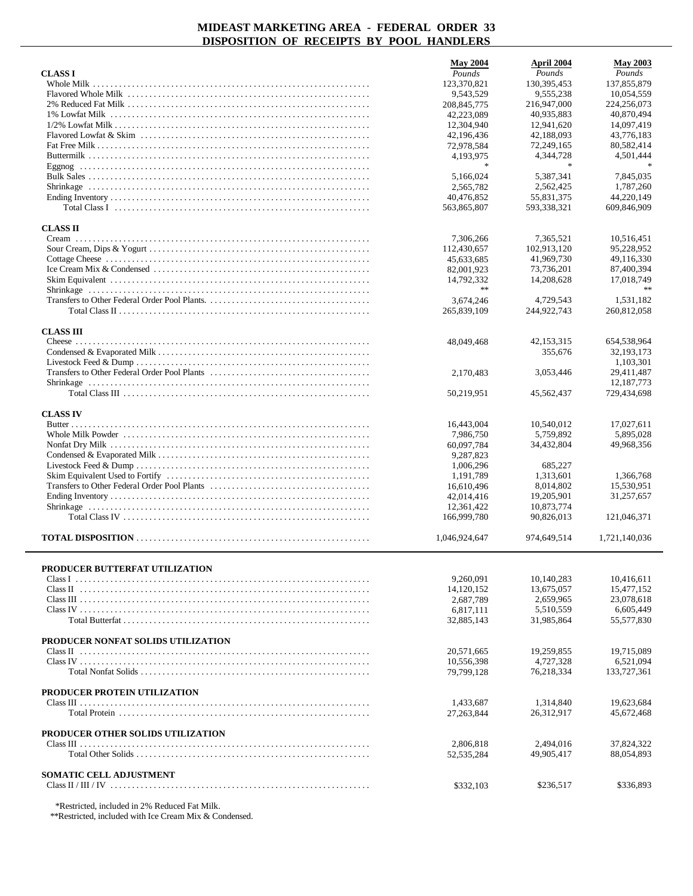|                                               | <b>May 2004</b>            | April 2004                 | <b>May 2003</b>           |
|-----------------------------------------------|----------------------------|----------------------------|---------------------------|
| <b>CLASS I</b>                                | Pounds                     | Pounds                     | Pounds                    |
|                                               | 123,370,821                | 130, 395, 453              | 137,855,879               |
|                                               | 9,543,529<br>208, 845, 775 | 9,555,238<br>216,947,000   | 10,054,559<br>224,256,073 |
|                                               | 42,223,089                 | 40.935.883                 | 40,870,494                |
|                                               | 12,304,940                 | 12,941,620                 | 14,097,419                |
|                                               | 42,196,436                 | 42,188,093                 | 43,776,183                |
|                                               | 72,978,584                 | 72,249,165                 | 80,582,414                |
|                                               | 4,193,975<br>永             | 4,344,728<br>$\frac{1}{2}$ | 4,501,444                 |
|                                               | 5.166.024                  | 5,387,341                  | 7,845,035                 |
|                                               | 2.565.782                  | 2,562,425                  | 1,787,260                 |
|                                               | 40,476,852                 | 55.831.375                 | 44,220,149                |
|                                               | 563,865,807                | 593,338,321                | 609,846,909               |
| <b>CLASS II</b>                               |                            |                            |                           |
|                                               | 7,306,266                  | 7,365,521                  | 10,516,451                |
|                                               | 112,430,657                | 102,913,120                | 95,228,952                |
|                                               | 45,633,685                 | 41,969,730                 | 49,116,330                |
|                                               | 82,001,923                 | 73,736,201                 | 87,400,394                |
|                                               | 14,792,332                 | 14,208,628                 | 17,018,749                |
|                                               | $\ast$                     |                            | $\gg \gg$                 |
|                                               | 3,674,246<br>265,839,109   | 4,729,543<br>244,922,743   | 1,531,182<br>260,812,058  |
|                                               |                            |                            |                           |
| <b>CLASS III</b>                              |                            |                            |                           |
|                                               | 48,049,468                 | 42,153,315                 | 654,538,964               |
|                                               |                            | 355,676                    | 32, 193, 173              |
|                                               | 2.170.483                  | 3,053,446                  | 1,103,301<br>29,411,487   |
|                                               |                            |                            | 12,187,773                |
|                                               | 50,219,951                 | 45,562,437                 | 729,434,698               |
|                                               |                            |                            |                           |
| <b>CLASS IV</b>                               |                            |                            |                           |
|                                               | 16,443,004<br>7,986,750    | 10,540,012<br>5,759,892    | 17,027,611<br>5,895,028   |
|                                               | 60,097,784                 | 34,432,804                 | 49,968,356                |
|                                               | 9,287,823                  |                            |                           |
|                                               | 1,006,296                  | 685,227                    |                           |
|                                               | 1,191,789                  | 1,313,601                  | 1,366,768                 |
|                                               | 16,610,496                 | 8,014,802                  | 15,530,951                |
|                                               | 42,014,416                 | 19,205,901<br>10,873,774   | 31,257,657                |
|                                               | 12,361,422<br>166,999,780  | 90,826,013                 | 121,046,371               |
|                                               |                            |                            |                           |
|                                               | 1,046,924,647              | 974,649,514                | 1,721,140,036             |
|                                               |                            |                            |                           |
| PRODUCER BUTTERFAT UTILIZATION                | 9,260,091                  | 10,140,283                 | 10,416,611                |
|                                               | 14,120,152                 | 13,675,057                 | 15.477.152                |
|                                               | 2,687,789                  | 2,659,965                  | 23,078,618                |
|                                               | 6,817,111                  | 5,510,559                  | 6,605,449                 |
| Total Butterfat                               | 32,885,143                 | 31,985,864                 | 55,577,830                |
| PRODUCER NONFAT SOLIDS UTILIZATION            |                            |                            |                           |
|                                               | 20,571,665                 | 19,259,855                 | 19,715,089                |
|                                               | 10,556,398                 | 4,727,328                  | 6,521,094                 |
|                                               | 79,799,128                 | 76,218,334                 | 133,727,361               |
|                                               |                            |                            |                           |
| PRODUCER PROTEIN UTILIZATION                  |                            | 1,314,840                  |                           |
|                                               | 1,433,687<br>27, 263, 844  | 26,312,917                 | 19,623,684<br>45,672,468  |
|                                               |                            |                            |                           |
| PRODUCER OTHER SOLIDS UTILIZATION             |                            |                            |                           |
|                                               | 2,806,818                  | 2,494,016                  | 37,824,322                |
|                                               | 52, 535, 284               | 49,905,417                 | 88,054,893                |
| SOMATIC CELL ADJUSTMENT                       |                            |                            |                           |
|                                               | \$332,103                  | \$236,517                  | \$336,893                 |
|                                               |                            |                            |                           |
| *Restricted, included in 2% Reduced Fat Milk. |                            |                            |                           |

\*\*Restricted, included with Ice Cream Mix & Condensed.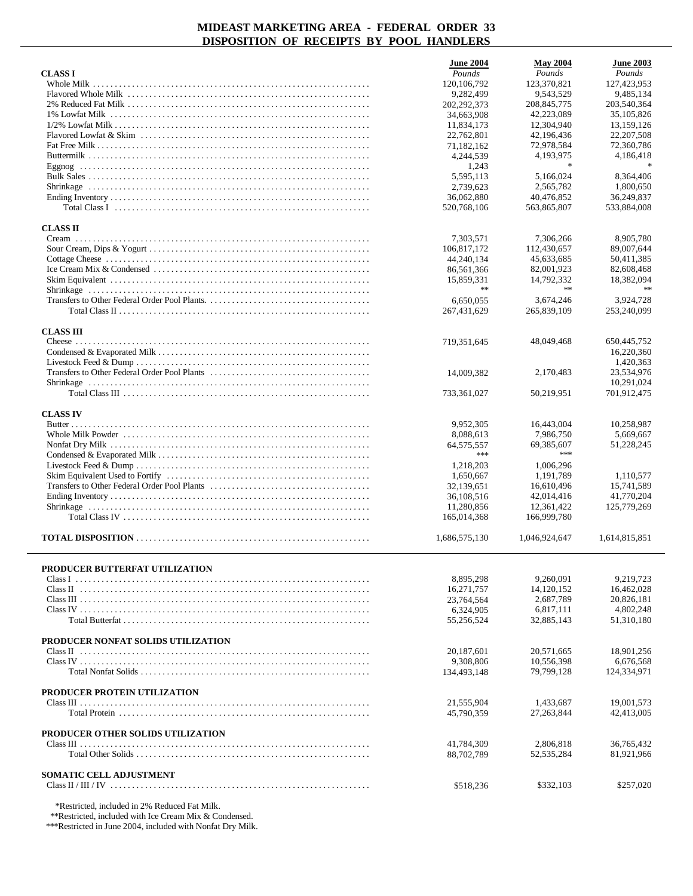|                                                                                                                                             | <b>June 2004</b>          | <b>May 2004</b>            | <b>June 2003</b>         |
|---------------------------------------------------------------------------------------------------------------------------------------------|---------------------------|----------------------------|--------------------------|
| <b>CLASS I</b>                                                                                                                              | Pounds                    | Pounds                     | Pounds                   |
|                                                                                                                                             | 120, 106, 792             | 123,370,821                | 127,423,953              |
|                                                                                                                                             | 9,282,499<br>202,292,373  | 9,543,529<br>208, 845, 775 | 9,485,134<br>203,540,364 |
|                                                                                                                                             | 34,663,908                | 42,223,089                 | 35,105,826               |
|                                                                                                                                             | 11,834,173                | 12,304,940                 | 13,159,126               |
|                                                                                                                                             | 22,762,801                | 42,196,436                 | 22, 207, 508             |
|                                                                                                                                             | 71,182,162                | 72,978,584                 | 72,360,786               |
|                                                                                                                                             | 4,244,539                 | 4,193,975                  | 4,186,418                |
|                                                                                                                                             | 1,243                     |                            |                          |
|                                                                                                                                             | 5,595,113<br>2,739,623    | 5,166,024<br>2,565,782     | 8,364,406<br>1,800,650   |
|                                                                                                                                             | 36,062,880                | 40,476,852                 | 36.249.837               |
| Total Class I $\ldots$ $\ldots$ $\ldots$ $\ldots$ $\ldots$ $\ldots$ $\ldots$ $\ldots$ $\ldots$ $\ldots$ $\ldots$ $\ldots$ $\ldots$ $\ldots$ | 520.768.106               | 563,865,807                | 533,884,008              |
|                                                                                                                                             |                           |                            |                          |
| <b>CLASS II</b>                                                                                                                             | 7,303,571                 | 7,306,266                  | 8,905,780                |
|                                                                                                                                             | 106,817,172               | 112,430,657                | 89,007,644               |
|                                                                                                                                             | 44,240,134                | 45,633,685                 | 50,411,385               |
|                                                                                                                                             | 86,561,366                | 82,001,923                 | 82,608,468               |
|                                                                                                                                             | 15,859,331                | 14,792,332                 | 18,382,094               |
|                                                                                                                                             | $\gg \gg$                 | $\ast$ $\ast$              | $\ast$                   |
|                                                                                                                                             | 6,650,055                 | 3,674,246                  | 3,924,728                |
|                                                                                                                                             | 267,431,629               | 265,839,109                | 253,240,099              |
| <b>CLASS III</b>                                                                                                                            |                           |                            |                          |
|                                                                                                                                             | 719,351,645               | 48,049,468                 | 650,445,752              |
|                                                                                                                                             |                           |                            | 16,220,360               |
|                                                                                                                                             |                           |                            | 1,420,363                |
|                                                                                                                                             | 14,009,382                | 2.170.483                  | 23,534,976<br>10,291,024 |
|                                                                                                                                             | 733,361,027               | 50,219,951                 | 701,912,475              |
|                                                                                                                                             |                           |                            |                          |
| <b>CLASS IV</b>                                                                                                                             |                           |                            |                          |
|                                                                                                                                             | 9,952,305                 | 16,443,004                 | 10,258,987               |
|                                                                                                                                             | 8,088,613<br>64, 575, 557 | 7,986,750<br>69,385,607    | 5,669,667<br>51,228,245  |
|                                                                                                                                             | ***                       | ***                        |                          |
|                                                                                                                                             | 1,218,203                 | 1,006,296                  |                          |
|                                                                                                                                             | 1,650,667                 | 1,191,789                  | 1,110,577                |
|                                                                                                                                             | 32,139,651                | 16,610,496                 | 15,741,589               |
|                                                                                                                                             | 36,108,516                | 42,014,416                 | 41,770,204               |
|                                                                                                                                             | 11,280,856                | 12,361,422                 | 125,779,269              |
|                                                                                                                                             | 165,014,368               | 166,999,780                |                          |
|                                                                                                                                             | 1,686,575,130             | 1,046,924,647              | 1,614,815,851            |
|                                                                                                                                             |                           |                            |                          |
| PRODUCER BUTTERFAT UTILIZATION                                                                                                              | 8,895,298                 | 9.260.091                  | 9,219,723                |
|                                                                                                                                             | 16,271,757                | 14,120,152                 | 16,462,028               |
|                                                                                                                                             | 23,764,564                | 2,687,789                  | 20,826,181               |
|                                                                                                                                             | 6,324,905                 | 6,817,111                  | 4,802,248                |
|                                                                                                                                             | 55,256,524                | 32,885,143                 | 51,310,180               |
| PRODUCER NONFAT SOLIDS UTILIZATION                                                                                                          |                           |                            |                          |
|                                                                                                                                             | 20,187,601                | 20,571,665                 | 18,901,256               |
|                                                                                                                                             | 9,308,806                 | 10,556,398                 | 6,676,568                |
|                                                                                                                                             | 134,493,148               | 79,799,128                 | 124,334,971              |
|                                                                                                                                             |                           |                            |                          |
| PRODUCER PROTEIN UTILIZATION                                                                                                                | 21.555.904                | 1,433,687                  | 19,001,573               |
|                                                                                                                                             | 45,790,359                | 27, 263, 844               | 42,413,005               |
|                                                                                                                                             |                           |                            |                          |
| PRODUCER OTHER SOLIDS UTILIZATION                                                                                                           | 41,784,309                | 2,806,818                  | 36,765,432               |
|                                                                                                                                             | 88,702,789                | 52, 535, 284               | 81,921,966               |
|                                                                                                                                             |                           |                            |                          |
| <b>SOMATIC CELL ADJUSTMENT</b>                                                                                                              |                           |                            |                          |
|                                                                                                                                             | \$518,236                 | \$332,103                  | \$257,020                |
| *Restricted, included in 2% Reduced Fat Milk.                                                                                               |                           |                            |                          |

\*\*Restricted, included with Ice Cream Mix & Condensed.

\*\*\*Restricted in June 2004, included with Nonfat Dry Milk.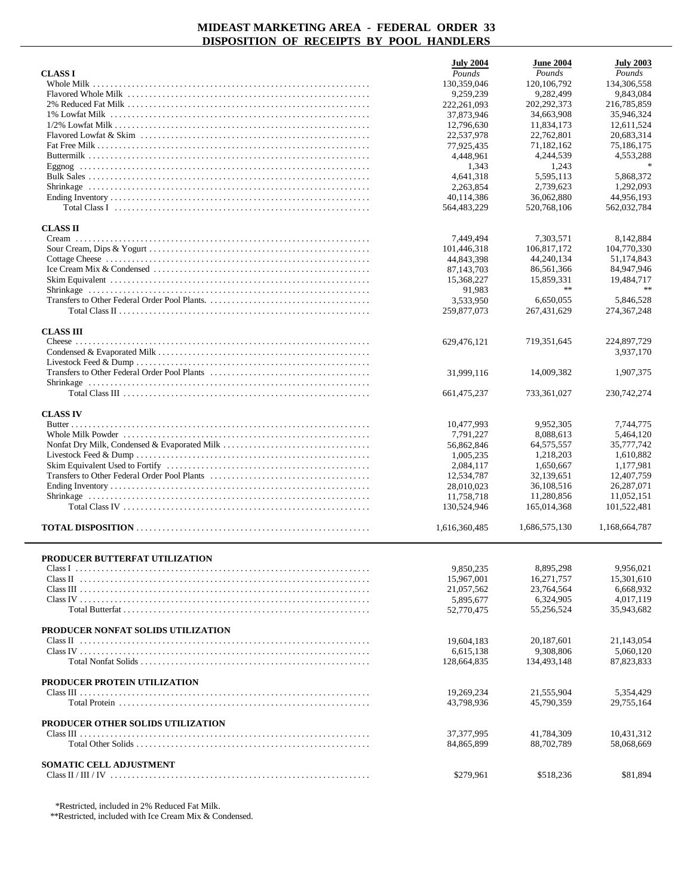|                                                                                                                                             | <b>July 2004</b> | <b>June 2004</b> | <b>July 2003</b> |
|---------------------------------------------------------------------------------------------------------------------------------------------|------------------|------------------|------------------|
| <b>CLASS I</b>                                                                                                                              | Pounds           | Pounds           | Pounds           |
|                                                                                                                                             | 130,359,046      | 120, 106, 792    | 134,306,558      |
|                                                                                                                                             | 9,259,239        | 9,282,499        | 9,843,084        |
|                                                                                                                                             | 222,261,093      | 202, 292, 373    | 216,785,859      |
|                                                                                                                                             | 37,873,946       | 34,663,908       | 35,946,324       |
|                                                                                                                                             | 12,796,630       | 11,834,173       | 12,611,524       |
|                                                                                                                                             | 22,537,978       | 22,762,801       | 20.683.314       |
|                                                                                                                                             | 77,925,435       | 71,182,162       | 75,186,175       |
|                                                                                                                                             | 4,448,961        | 4,244,539        | 4,553,288        |
|                                                                                                                                             | 1,343            | 1,243            |                  |
|                                                                                                                                             | 4,641,318        | 5,595,113        | 5,868,372        |
|                                                                                                                                             | 2,263,854        | 2,739,623        | 1,292,093        |
|                                                                                                                                             | 40,114,386       | 36,062,880       | 44,956,193       |
| Total Class I $\ldots$ $\ldots$ $\ldots$ $\ldots$ $\ldots$ $\ldots$ $\ldots$ $\ldots$ $\ldots$ $\ldots$ $\ldots$ $\ldots$ $\ldots$ $\ldots$ | 564,483,229      | 520,768,106      | 562,032,784      |
|                                                                                                                                             |                  |                  |                  |
| <b>CLASS II</b>                                                                                                                             |                  |                  |                  |
|                                                                                                                                             | 7.449,494        | 7,303,571        | 8,142,884        |
|                                                                                                                                             | 101,446,318      | 106,817,172      | 104,770,330      |
|                                                                                                                                             | 44,843,398       | 44,240,134       | 51,174,843       |
|                                                                                                                                             | 87,143,703       | 86,561,366       | 84,947,946       |
|                                                                                                                                             | 15,368,227       | 15,859,331       | 19,484,717       |
|                                                                                                                                             | 91,983           | $\ast$ $\ast$    | $\ast$           |
|                                                                                                                                             | 3,533,950        | 6,650,055        | 5,846,528        |
|                                                                                                                                             | 259,877,073      | 267, 431, 629    | 274, 367, 248    |
| <b>CLASS III</b>                                                                                                                            |                  |                  |                  |
|                                                                                                                                             | 629,476,121      | 719,351,645      | 224,897,729      |
|                                                                                                                                             |                  |                  | 3,937,170        |
|                                                                                                                                             |                  |                  |                  |
|                                                                                                                                             | 31,999,116       | 14,009,382       | 1,907,375        |
|                                                                                                                                             |                  |                  |                  |
|                                                                                                                                             | 661, 475, 237    | 733,361,027      | 230, 742, 274    |
|                                                                                                                                             |                  |                  |                  |
| <b>CLASS IV</b>                                                                                                                             |                  |                  |                  |
|                                                                                                                                             | 10,477,993       | 9,952,305        | 7,744,775        |
|                                                                                                                                             | 7,791,227        | 8,088,613        | 5,464,120        |
|                                                                                                                                             | 56,862,846       | 64, 575, 557     | 35,777,742       |
|                                                                                                                                             | 1,005,235        | 1,218,203        | 1,610,882        |
|                                                                                                                                             | 2,084,117        | 1,650,667        | 1,177,981        |
|                                                                                                                                             | 12,534,787       | 32,139,651       | 12,407,759       |
|                                                                                                                                             | 28,010,023       | 36,108,516       | 26,287,071       |
|                                                                                                                                             | 11,758,718       | 11,280,856       | 11,052,151       |
|                                                                                                                                             | 130,524,946      | 165,014,368      | 101,522,481      |
|                                                                                                                                             |                  |                  |                  |
|                                                                                                                                             | 1,616,360,485    | 1,686,575,130    | 1,168,664,787    |
|                                                                                                                                             |                  |                  |                  |
| PRODUCER BUTTERFAT UTILIZATION                                                                                                              |                  |                  |                  |
|                                                                                                                                             | 9,850,235        | 8,895,298        | 9,956,021        |
|                                                                                                                                             | 15,967,001       | 16,271,757       | 15,301,610       |
|                                                                                                                                             | 21,057,562       | 23,764,564       | 6,668,932        |
|                                                                                                                                             | 5,895,677        | 6,324,905        | 4,017,119        |
|                                                                                                                                             | 52,770,475       | 55,256,524       | 35,943,682       |
|                                                                                                                                             |                  |                  |                  |
| PRODUCER NONFAT SOLIDS UTILIZATION                                                                                                          |                  |                  |                  |
|                                                                                                                                             | 19,604,183       | 20, 187, 601     | 21,143,054       |
|                                                                                                                                             | 6,615,138        | 9,308,806        | 5,060,120        |
|                                                                                                                                             | 128,664,835      | 134,493,148      | 87,823,833       |
| PRODUCER PROTEIN UTILIZATION                                                                                                                |                  |                  |                  |
|                                                                                                                                             |                  |                  |                  |
|                                                                                                                                             | 19,269,234       | 21,555,904       | 5,354,429        |
|                                                                                                                                             | 43,798,936       | 45,790,359       | 29,755,164       |
| PRODUCER OTHER SOLIDS UTILIZATION                                                                                                           |                  |                  |                  |
|                                                                                                                                             | 37, 377, 995     | 41,784,309       | 10,431,312       |
|                                                                                                                                             | 84,865,899       | 88,702,789       | 58,068,669       |
|                                                                                                                                             |                  |                  |                  |
| SOMATIC CELL ADJUSTMENT                                                                                                                     |                  |                  |                  |
|                                                                                                                                             | \$279,961        | \$518,236        | \$81,894         |

\*Restricted, included in 2% Reduced Fat Milk.

\*\*Restricted, included with Ice Cream Mix & Condensed.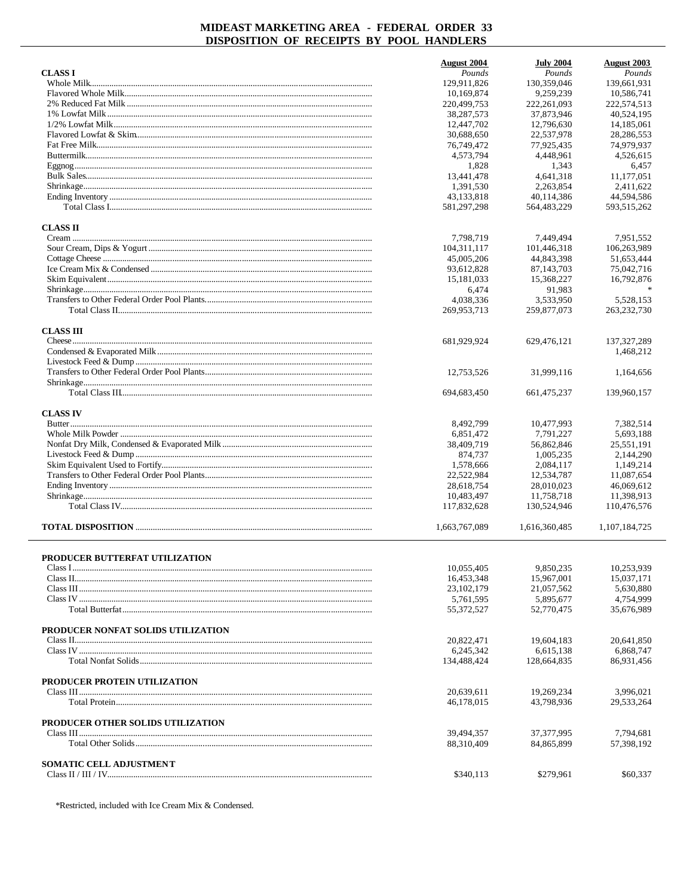|                                    | <b>August 2004</b> | <b>July 2004</b> | August 2003   |
|------------------------------------|--------------------|------------------|---------------|
| <b>CLASS I</b>                     | Pounds             | Pounds           | Pounds        |
|                                    | 129.911.826        | 130,359,046      | 139,661.931   |
|                                    | 10,169,874         | 9,259,239        | 10,586,741    |
|                                    | 220,499,753        | 222, 261, 093    | 222,574,513   |
|                                    | 38,287,573         | 37,873,946       | 40,524,195    |
|                                    | 12,447,702         | 12,796,630       | 14, 185, 061  |
|                                    | 30,688,650         | 22,537,978       | 28, 286, 553  |
|                                    | 76,749,472         | 77,925,435       | 74,979,937    |
|                                    | 4,573,794          | 4,448,961        | 4,526,615     |
|                                    | 1,828              | 1,343            | 6,457         |
|                                    | 13,441,478         | 4,641,318        | 11,177,051    |
|                                    | 1,391,530          | 2.263.854        | 2,411,622     |
|                                    | 43,133,818         | 40,114,386       | 44,594,586    |
|                                    | 581,297,298        | 564,483,229      | 593,515,262   |
| <b>CLASS II</b>                    |                    |                  |               |
|                                    | 7,798,719          | 7,449,494        | 7,951,552     |
|                                    | 104,311,117        | 101,446,318      | 106,263,989   |
|                                    | 45,005,206         | 44,843,398       | 51,653,444    |
|                                    | 93,612,828         | 87, 143, 703     | 75,042,716    |
|                                    | 15,181,033         | 15,368,227       | 16,792,876    |
|                                    | 6,474              | 91,983           |               |
|                                    | 4,038,336          | 3,533,950        | 5.528.153     |
|                                    | 269,953,713        | 259,877,073      | 263, 232, 730 |
|                                    |                    |                  |               |
| <b>CLASS III</b>                   | 681,929,924        | 629,476,121      | 137.327.289   |
|                                    |                    |                  | 1,468,212     |
|                                    |                    |                  |               |
|                                    | 12,753,526         |                  |               |
|                                    |                    | 31,999,116       | 1,164,656     |
|                                    | 694,683,450        | 661,475,237      | 139,960,157   |
|                                    |                    |                  |               |
| <b>CLASS IV</b>                    |                    |                  |               |
|                                    | 8,492,799          | 10,477,993       | 7,382,514     |
|                                    | 6,851,472          | 7,791,227        | 5,693,188     |
|                                    | 38,409,719         | 56,862,846       | 25,551,191    |
|                                    | 874,737            | 1,005,235        | 2,144,290     |
|                                    | 1,578,666          | 2,084,117        | 1,149,214     |
|                                    | 22,522,984         | 12,534,787       | 11,087,654    |
|                                    | 28,618,754         | 28,010,023       | 46,069,612    |
|                                    | 10,483,497         | 11,758,718       | 11,398,913    |
|                                    | 117,832,628        | 130,524,946      | 110,476,576   |
|                                    | 1,663,767,089      | 1,616,360,485    | 1,107,184,725 |
| PRODUCER BUTTERFAT UTILIZATION     |                    |                  |               |
|                                    | 10,055,405         | 9.850.235        | 10,253,939    |
|                                    | 16,453,348         | 15,967,001       | 15,037,171    |
|                                    | 23, 102, 179       | 21,057,562       | 5,630,880     |
|                                    | 5.761.595          |                  |               |
|                                    |                    | 5,895,677        | 4,754,999     |
|                                    | 55,372,527         | 52,770,475       | 35,676,989    |
| PRODUCER NONFAT SOLIDS UTILIZATION |                    |                  |               |
|                                    | 20,822,471         | 19,604,183       | 20,641,850    |
|                                    | 6,245,342          | 6,615,138        | 6,868,747     |
|                                    | 134,488,424        | 128,664,835      | 86,931,456    |
| PRODUCER PROTEIN UTILIZATION       |                    |                  |               |
|                                    | 20,639,611         | 19,269,234       | 3,996,021     |
|                                    | 46,178,015         | 43,798,936       | 29,533,264    |
| PRODUCER OTHER SOLIDS UTILIZATION  |                    |                  |               |
|                                    | 39,494,357         | 37, 377, 995     | 7,794,681     |
|                                    | 88,310,409         | 84,865,899       | 57,398,192    |
| SOMATIC CELL ADJUSTMENT            |                    |                  |               |
|                                    | \$340,113          | \$279,961        | \$60,337      |

\*Restricted, included with Ice Cream Mix & Condensed.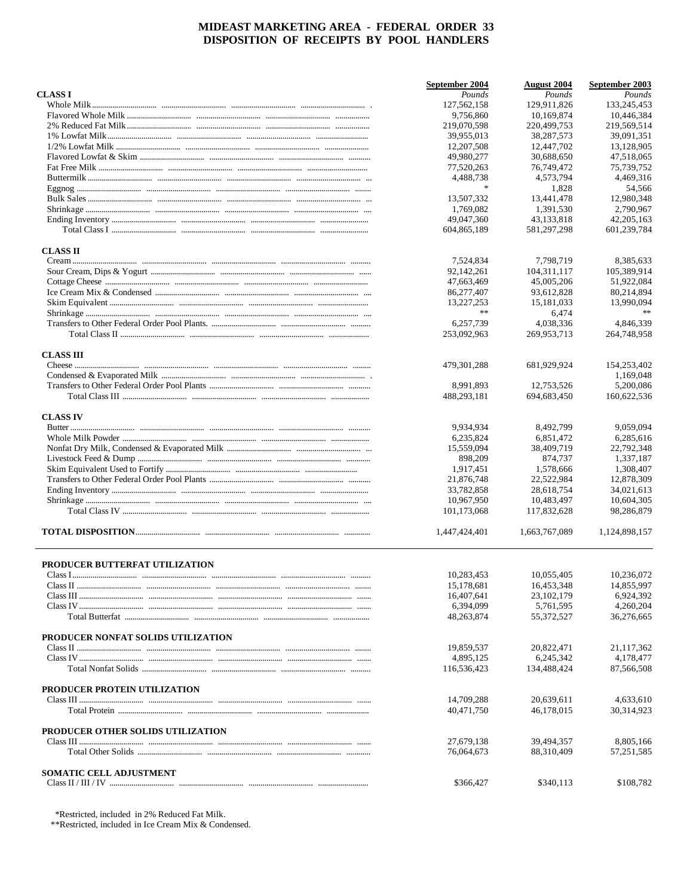|                                    | September 2004           | <b>August</b> 2004       | September 2003          |
|------------------------------------|--------------------------|--------------------------|-------------------------|
| <b>CLASSI</b>                      | Pounds                   | Pounds                   | Pounds                  |
|                                    | 127,562,158              | 129,911,826              | 133,245,453             |
|                                    | 9,756,860                | 10,169,874               | 10,446,384              |
|                                    | 219,070,598              | 220,499,753              | 219,569,514             |
|                                    | 39,955,013               | 38.287.573               | 39,091,351              |
|                                    | 12,207,508               | 12,447,702               | 13,128,905              |
|                                    | 49,980,277               | 30,688,650               | 47,518,065              |
|                                    | 77,520,263               | 76,749,472               | 75,739,752              |
|                                    | 4,488,738                | 4,573,794                | 4,469,316               |
|                                    | $\ast$                   | 1,828                    | 54,566                  |
|                                    | 13,507,332               | 13,441,478               | 12,980,348              |
|                                    | 1,769,082                | 1,391,530                | 2,790,967               |
|                                    | 49,047,360               | 43,133,818               | 42,205,163              |
|                                    | 604,865,189              | 581,297,298              | 601,239,784             |
| <b>CLASS II</b>                    |                          |                          |                         |
|                                    | 7,524,834                | 7,798,719                | 8,385,633               |
|                                    | 92,142,261               | 104, 311, 117            | 105,389,914             |
|                                    | 47,663,469               | 45,005,206               | 51,922,084              |
|                                    | 86,277,407               | 93,612,828               | 80,214,894              |
|                                    | 13,227,253               | 15,181,033               | 13,990,094              |
|                                    | $\ast$ $\ast$            | 6,474                    |                         |
|                                    | 6,257,739                | 4.038.336                | 4,846,339               |
|                                    | 253,092,963              | 269,953,713              | 264,748,958             |
| <b>CLASS III</b>                   |                          |                          |                         |
|                                    | 479, 301, 288            | 681,929,924              | 154,253,402             |
|                                    |                          |                          | 1,169,048               |
|                                    | 8,991,893                | 12,753,526               | 5,200,086               |
|                                    | 488,293,181              | 694,683,450              | 160,622,536             |
| <b>CLASS IV</b>                    |                          |                          |                         |
|                                    | 9.934,934                | 8.492,799                | 9,059,094               |
|                                    | 6,235,824                | 6,851,472                | 6,285,616               |
|                                    | 15,559,094               | 38,409,719               | 22,792,348              |
|                                    | 898,209                  | 874,737                  | 1,337,187               |
|                                    | 1,917,451                | 1,578,666                | 1,308,407               |
|                                    | 21,876,748               | 22,522,984               | 12,878,309              |
|                                    | 33,782,858               | 28,618,754               | 34,021,613              |
|                                    | 10,967,950               | 10,483,497               | 10,604,305              |
|                                    | 101,173,068              | 117,832,628              | 98,286,879              |
|                                    | 1,447,424,401            | 1,663,767,089            | 1,124,898,157           |
| PRODUCER BUTTERFAT UTILIZATION     |                          |                          |                         |
|                                    | 10,283,453               | 10,055,405               | 10,236,072              |
|                                    |                          | 16,453,348               | 14,855,997              |
|                                    | 15,178,681<br>16,407,641 | 23,102,179               | 6,924,392               |
|                                    | 6,394,099                | 5,761,595                | 4,260,204               |
|                                    | 48,263,874               | 55,372,527               | 36,276,665              |
| PRODUCER NONFAT SOLIDS UTILIZATION |                          |                          |                         |
|                                    | 19,859,537               | 20,822,471               | 21,117,362              |
|                                    | 4,895,125                | 6,245,342                | 4.178.477               |
|                                    | 116,536,423              | 134,488,424              | 87,566,508              |
| PRODUCER PROTEIN UTILIZATION       |                          |                          |                         |
|                                    | 14,709,288               | 20.639.611               | 4,633,610               |
|                                    | 40,471,750               | 46,178,015               | 30,314,923              |
| PRODUCER OTHER SOLIDS UTILIZATION  |                          |                          |                         |
|                                    | 27,679,138<br>76,064,673 | 39,494,357<br>88,310,409 | 8,805,166<br>57,251,585 |
|                                    |                          |                          |                         |
| SOMATIC CELL ADJUSTMENT            | \$366,427                | \$340,113                | \$108,782               |
|                                    |                          |                          |                         |

 $*$ Restricted, included in 2% Reduced Fat Milk.<br> $*$ <sup>\*</sup>Restricted, included in Ice Cream Mix & Condensed.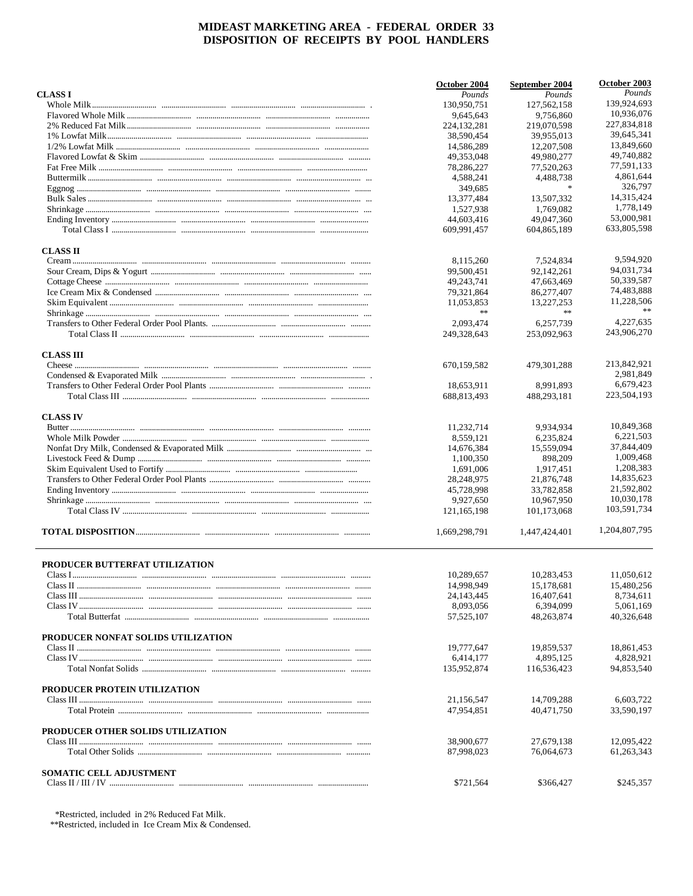|                                    | October 2004              | September 2004              | October 2003              |
|------------------------------------|---------------------------|-----------------------------|---------------------------|
| <b>CLASS I</b>                     | Pounds                    | Pounds                      | Pounds                    |
|                                    | 130,950,751               | 127,562,158                 | 139,924,693               |
|                                    | 9,645,643                 | 9,756,860                   | 10,936,076                |
|                                    | 224,132,281               | 219,070,598                 | 227,834,818               |
|                                    | 38,590,454                | 39,955,013                  | 39.645.341                |
|                                    | 14,586,289                | 12,207,508                  | 13.849.660                |
|                                    | 49.353.048                | 49,980,277                  | 49,740,882                |
|                                    | 78,286,227                | 77,520,263                  | 77,591,133                |
|                                    | 4,588,241                 | 4,488,738                   | 4,861,644                 |
|                                    | 349,685                   | $*$                         | 326,797                   |
|                                    | 13,377,484                | 13,507,332                  | 14,315,424                |
|                                    | 1,527,938                 | 1,769,082                   | 1,778,149                 |
|                                    | 44,603,416                | 49,047,360                  | 53,000,981<br>633,805,598 |
|                                    | 609,991,457               | 604,865,189                 |                           |
| <b>CLASS II</b>                    |                           |                             |                           |
|                                    | 8,115,260                 | 7,524,834                   | 9.594.920                 |
|                                    | 99,500,451                | 92,142,261                  | 94,031,734                |
|                                    | 49,243,741                | 47,663,469                  | 50,339,587                |
|                                    | 79,321,864                | 86,277,407                  | 74,483,888                |
|                                    | 11,053,853<br>**          | 13.227.253<br>$\frac{1}{2}$ | 11,228,506<br>$\ast\ast$  |
|                                    | 2,093,474                 | 6,257,739                   | 4,227,635                 |
|                                    | 249,328,643               | 253,092,963                 | 243,906,270               |
|                                    |                           |                             |                           |
| <b>CLASS III</b>                   |                           |                             |                           |
|                                    | 670,159,582               | 479,301,288                 | 213,842,921<br>2,981,849  |
|                                    |                           |                             | 6,679,423                 |
|                                    | 18,653,911                | 8,991,893                   | 223,504,193               |
|                                    | 688,813,493               | 488,293,181                 |                           |
| <b>CLASS IV</b>                    |                           |                             |                           |
|                                    | 11,232,714                | 9.934,934                   | 10,849,368                |
|                                    | 8,559,121                 | 6,235,824                   | 6,221,503                 |
|                                    | 14,676,384                | 15,559,094                  | 37,844,409                |
|                                    | 1,100,350                 | 898,209                     | 1,009,468                 |
|                                    | 1,691,006                 | 1,917,451                   | 1,208,383                 |
|                                    | 28,248,975                | 21,876,748                  | 14,835,623                |
|                                    | 45,728,998                | 33,782,858                  | 21,592,802                |
|                                    | 9,927,650                 | 10,967,950                  | 10,030,178                |
|                                    | 121,165,198               | 101,173,068                 | 103,591,734               |
|                                    | 1,669,298,791             | 1,447,424,401               | 1,204,807,795             |
|                                    |                           |                             |                           |
| PRODUCER BUTTERFAT UTILIZATION     | 10,289,657                | 10,283,453                  | 11,050,612                |
|                                    |                           |                             |                           |
|                                    | 14,998,949                | 15,178,681                  | 15,480,256                |
|                                    | 24, 143, 445              | 16,407,641<br>6,394,099     | 8,734,611                 |
|                                    | 8,093,056<br>57, 525, 107 | 48,263,874                  | 5,061,169<br>40,326,648   |
|                                    |                           |                             |                           |
| PRODUCER NONFAT SOLIDS UTILIZATION |                           |                             |                           |
|                                    | 19,777,647                | 19,859,537                  | 18,861,453                |
|                                    | 6,414,177                 | 4,895,125                   | 4,828,921                 |
|                                    | 135,952,874               | 116,536,423                 | 94,853,540                |
| PRODUCER PROTEIN UTILIZATION       |                           |                             |                           |
|                                    | 21,156,547                | 14,709,288                  | 6,603,722                 |
|                                    | 47,954,851                | 40,471,750                  | 33,590,197                |
| PRODUCER OTHER SOLIDS UTILIZATION  |                           |                             |                           |
|                                    | 38,900,677                | 27,679,138                  | 12,095,422                |
|                                    | 87,998,023                | 76,064,673                  | 61,263,343                |
| <b>SOMATIC CELL ADJUSTMENT</b>     |                           |                             |                           |
|                                    | \$721,564                 | \$366,427                   | \$245,357                 |
|                                    |                           |                             |                           |

\*Restricted, included in 2% Reduced Fat Milk.

\*\*Restricted, included in Ice Cream Mix & Condensed.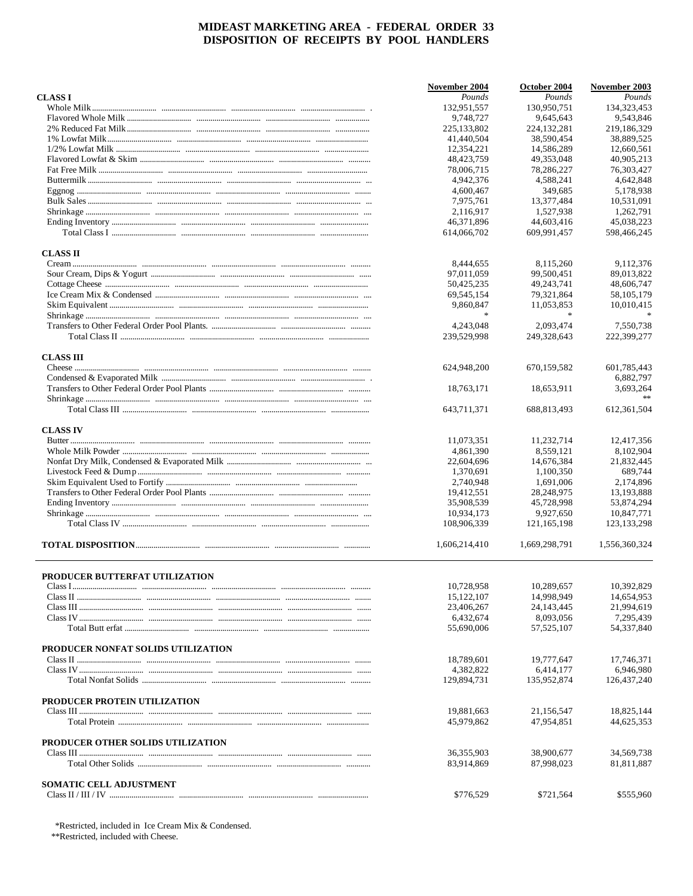|                                    | November 2004 | October 2004  | November 2003 |
|------------------------------------|---------------|---------------|---------------|
| <b>CLASS I</b>                     | Pounds        | Pounds        | Pounds        |
|                                    | 132,951,557   | 130,950,751   | 134,323,453   |
|                                    | 9,748,727     | 9,645,643     | 9,543,846     |
|                                    | 225,133,802   | 224, 132, 281 | 219,186,329   |
|                                    | 41,440,504    | 38,590,454    | 38,889,525    |
|                                    | 12,354,221    | 14,586,289    | 12,660,561    |
|                                    | 48, 423, 759  | 49,353,048    | 40,905,213    |
|                                    | 78,006,715    | 78,286,227    | 76,303,427    |
|                                    | 4,942,376     | 4,588,241     | 4,642,848     |
|                                    | 4,600,467     | 349,685       | 5,178,938     |
|                                    | 7,975,761     | 13,377,484    | 10,531,091    |
|                                    | 2,116,917     | 1,527,938     | 1,262,791     |
|                                    | 46,371,896    | 44,603,416    | 45,038,223    |
|                                    | 614,066,702   | 609,991,457   | 598,466,245   |
| <b>CLASS II</b>                    |               |               |               |
|                                    | 8,444,655     | 8,115,260     | 9,112,376     |
|                                    | 97,011,059    | 99,500,451    | 89,013,822    |
|                                    | 50,425,235    | 49, 243, 741  | 48,606,747    |
|                                    | 69,545,154    | 79,321,864    | 58, 105, 179  |
|                                    | 9,860,847     | 11,053,853    | 10,010,415    |
|                                    | $\ast$        | $\ast$        |               |
|                                    | 4,243,048     | 2,093,474     | 7,550,738     |
|                                    | 239,529,998   | 249,328,643   | 222,399,277   |
|                                    |               |               |               |
| <b>CLASS III</b>                   | 624,948,200   | 670,159,582   | 601,785,443   |
|                                    |               |               | 6,882,797     |
|                                    | 18,763,171    |               |               |
|                                    |               | 18,653,911    | 3,693,264     |
|                                    | 643,711,371   | 688,813,493   | 612, 361, 504 |
|                                    |               |               |               |
| <b>CLASS IV</b>                    |               |               |               |
|                                    | 11,073,351    | 11,232,714    | 12,417,356    |
|                                    | 4,861,390     | 8,559,121     | 8,102,904     |
|                                    | 22,604,696    | 14,676,384    | 21,832,445    |
|                                    | 1,370,691     | 1,100,350     | 689,744       |
|                                    | 2,740,948     | 1,691,006     | 2,174,896     |
|                                    | 19,412,551    | 28,248,975    | 13,193,888    |
|                                    | 35,908,539    | 45,728,998    | 53,874,294    |
|                                    | 10,934,173    | 9,927,650     | 10,847,771    |
|                                    | 108,906,339   | 121, 165, 198 | 123, 133, 298 |
|                                    | 1,606,214,410 | 1,669,298,791 | 1,556,360,324 |
| PRODUCER BUTTERFAT UTILIZATION     |               |               |               |
| Clace L                            | 10,728,958    | 10,289,657    | 10,392,829    |
|                                    | 15, 122, 107  | 14.998.949    | 14,654,953    |
|                                    | 23,406,267    | 24, 143, 445  | 21.994.619    |
|                                    | 6,432,674     | 8,093,056     | 7,295,439     |
|                                    | 55,690,006    | 57, 525, 107  | 54,337,840    |
|                                    |               |               |               |
| PRODUCER NONFAT SOLIDS UTILIZATION |               |               |               |
|                                    | 18,789,601    | 19,777,647    | 17,746,371    |
|                                    | 4,382,822     | 6.414.177     | 6.946.980     |
|                                    | 129,894,731   | 135,952,874   | 126,437,240   |
| PRODUCER PROTEIN UTILIZATION       |               |               |               |
|                                    | 19,881,663    | 21,156,547    | 18,825,144    |
|                                    | 45,979,862    | 47,954,851    | 44,625,353    |
| PRODUCER OTHER SOLIDS UTILIZATION  |               |               |               |
|                                    | 36,355,903    | 38,900,677    | 34,569,738    |
|                                    | 83,914,869    | 87,998,023    | 81,811,887    |
| <b>SOMATIC CELL ADJUSTMENT</b>     |               |               |               |
|                                    | \$776,529     | \$721,564     | \$555,960     |
|                                    |               |               |               |

\*Restricted, included in Ice Cream Mix & Condensed.

\*\*Restricted, included with Cheese.